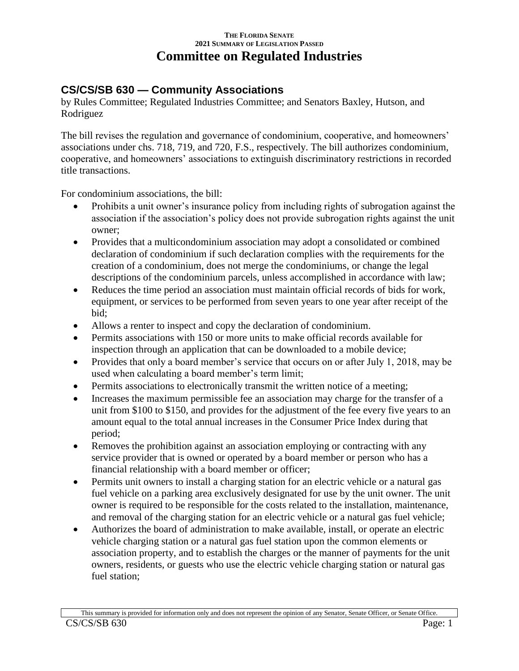## **THE FLORIDA SENATE 2021 SUMMARY OF LEGISLATION PASSED Committee on Regulated Industries**

## **CS/CS/SB 630 — Community Associations**

by Rules Committee; Regulated Industries Committee; and Senators Baxley, Hutson, and Rodriguez

The bill revises the regulation and governance of condominium, cooperative, and homeowners' associations under chs. 718, 719, and 720, F.S., respectively. The bill authorizes condominium, cooperative, and homeowners' associations to extinguish discriminatory restrictions in recorded title transactions.

For condominium associations, the bill:

- Prohibits a unit owner's insurance policy from including rights of subrogation against the association if the association's policy does not provide subrogation rights against the unit owner;
- Provides that a multicondominium association may adopt a consolidated or combined declaration of condominium if such declaration complies with the requirements for the creation of a condominium, does not merge the condominiums, or change the legal descriptions of the condominium parcels, unless accomplished in accordance with law;
- Reduces the time period an association must maintain official records of bids for work, equipment, or services to be performed from seven years to one year after receipt of the bid;
- Allows a renter to inspect and copy the declaration of condominium.
- Permits associations with 150 or more units to make official records available for inspection through an application that can be downloaded to a mobile device;
- Provides that only a board member's service that occurs on or after July 1, 2018, may be used when calculating a board member's term limit;
- Permits associations to electronically transmit the written notice of a meeting;
- Increases the maximum permissible fee an association may charge for the transfer of a unit from \$100 to \$150, and provides for the adjustment of the fee every five years to an amount equal to the total annual increases in the Consumer Price Index during that period;
- Removes the prohibition against an association employing or contracting with any service provider that is owned or operated by a board member or person who has a financial relationship with a board member or officer;
- Permits unit owners to install a charging station for an electric vehicle or a natural gas fuel vehicle on a parking area exclusively designated for use by the unit owner. The unit owner is required to be responsible for the costs related to the installation, maintenance, and removal of the charging station for an electric vehicle or a natural gas fuel vehicle;
- Authorizes the board of administration to make available, install, or operate an electric vehicle charging station or a natural gas fuel station upon the common elements or association property, and to establish the charges or the manner of payments for the unit owners, residents, or guests who use the electric vehicle charging station or natural gas fuel station;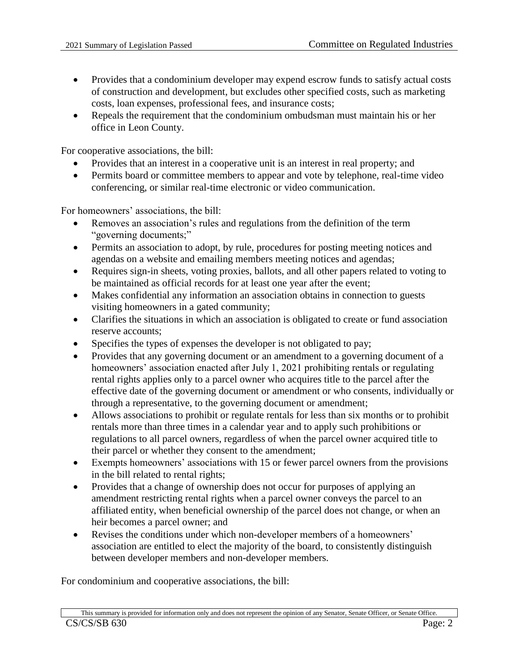- Provides that a condominium developer may expend escrow funds to satisfy actual costs of construction and development, but excludes other specified costs, such as marketing costs, loan expenses, professional fees, and insurance costs;
- Repeals the requirement that the condominium ombudsman must maintain his or her office in Leon County.

For cooperative associations, the bill:

- Provides that an interest in a cooperative unit is an interest in real property; and
- Permits board or committee members to appear and vote by telephone, real-time video conferencing, or similar real-time electronic or video communication.

For homeowners' associations, the bill:

- Removes an association's rules and regulations from the definition of the term "governing documents;"
- Permits an association to adopt, by rule, procedures for posting meeting notices and agendas on a website and emailing members meeting notices and agendas;
- Requires sign-in sheets, voting proxies, ballots, and all other papers related to voting to be maintained as official records for at least one year after the event;
- Makes confidential any information an association obtains in connection to guests visiting homeowners in a gated community;
- Clarifies the situations in which an association is obligated to create or fund association reserve accounts;
- Specifies the types of expenses the developer is not obligated to pay;
- Provides that any governing document or an amendment to a governing document of a homeowners' association enacted after July 1, 2021 prohibiting rentals or regulating rental rights applies only to a parcel owner who acquires title to the parcel after the effective date of the governing document or amendment or who consents, individually or through a representative, to the governing document or amendment;
- Allows associations to prohibit or regulate rentals for less than six months or to prohibit rentals more than three times in a calendar year and to apply such prohibitions or regulations to all parcel owners, regardless of when the parcel owner acquired title to their parcel or whether they consent to the amendment;
- Exempts homeowners' associations with 15 or fewer parcel owners from the provisions in the bill related to rental rights;
- Provides that a change of ownership does not occur for purposes of applying an amendment restricting rental rights when a parcel owner conveys the parcel to an affiliated entity, when beneficial ownership of the parcel does not change, or when an heir becomes a parcel owner; and
- Revises the conditions under which non-developer members of a homeowners' association are entitled to elect the majority of the board, to consistently distinguish between developer members and non-developer members.

For condominium and cooperative associations, the bill: